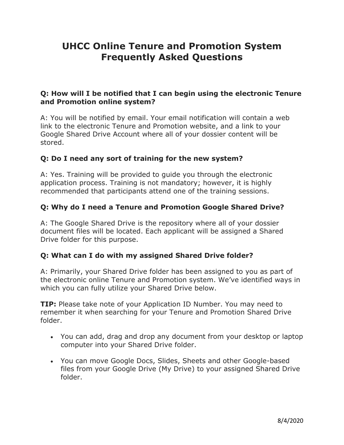# **Frequently Asked Questions UHCC Online Tenure and Promotion System**

### **Q: How will I be notified that I can begin using the electronic Tenure and Promotion online system?**

 link to the electronic Tenure and Promotion website, and a link to your A: You will be notified by email. Your email notification will contain a web Google Shared Drive Account where all of your dossier content will be stored.

### **Q: Do I need any sort of training for the new system?**

 recommended that participants attend one of the training sessions. A: Yes. Training will be provided to guide you through the electronic application process. Training is not mandatory; however, it is highly

### **Q: Why do I need a Tenure and Promotion Google Shared Drive?**

A: The Google Shared Drive is the repository where all of your dossier document files will be located. Each applicant will be assigned a Shared Drive folder for this purpose.

#### **Q: What can I do with my assigned Shared Drive folder?**

A: Primarily, your Shared Drive folder has been assigned to you as part of the electronic online Tenure and Promotion system. We've identified ways in which you can fully utilize your Shared Drive below.

**TIP:** Please take note of your Application ID Number. You may need to remember it when searching for your Tenure and Promotion Shared Drive folder.

- You can add, drag and drop any document from your desktop or laptop computer into your Shared Drive folder.
- You can move Google Docs, Slides, Sheets and other Google-based files from your Google Drive (My Drive) to your assigned Shared Drive folder.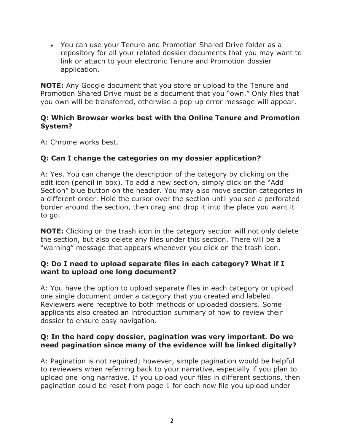repository for all your related dossier documents that you may want to • You can use your Tenure and Promotion Shared Drive folder as a link or attach to your electronic Tenure and Promotion dossier application.

 **NOTE:** Any Google document that you store or upload to the Tenure and Promotion Shared Drive must be a document that you "own." Only files that you own will be transferred, otherwise a pop-up error message will appear.

### **Q: Which Browser works best with the Online Tenure and Promotion System?**

A: Chrome works best.

## **Q: Can I change the categories on my dossier application?**

 edit icon (pencil in box). To add a new section, simply click on the "Add A: Yes. You can change the description of the category by clicking on the Section" blue button on the header. You may also move section categories in a different order. Hold the cursor over the section until you see a perforated border around the section, then drag and drop it into the place you want it to go.

 **NOTE:** Clicking on the trash icon in the category section will not only delete the section, but also delete any files under this section. There will be a "warning" message that appears whenever you click on the trash icon.

### **Q: Do I need to upload separate files in each category? What if I want to upload one long document?**

A: You have the option to upload separate files in each category or upload one single document under a category that you created and labeled. Reviewers were receptive to both methods of uploaded dossiers. Some applicants also created an introduction summary of how to review their dossier to ensure easy navigation.

### **Q: In the hard copy dossier, pagination was very important. Do we need pagination since many of the evidence will be linked digitally?**

 to reviewers when referring back to your narrative, especially if you plan to A: Pagination is not required; however, simple pagination would be helpful upload one long narrative. If you upload your files in different sections, then pagination could be reset from page 1 for each new file you upload under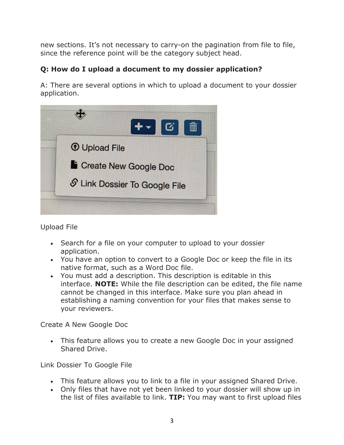new sections. It's not necessary to carry-on the pagination from file to file, since the reference point will be the category subject head.

# **Q: How do I upload a document to my dossier application?**

A: There are several options in which to upload a document to your dossier application.



Upload File

- Search for a file on your computer to upload to your dossier application.
- You have an option to convert to a Google Doc or keep the file in its native format, such as a Word Doc file.
- • You must add a description. This description is editable in this interface. **NOTE:** While the file description can be edited, the file name cannot be changed in this interface. Make sure you plan ahead in establishing a naming convention for your files that makes sense to your reviewers.

Create A New Google Doc

• This feature allows you to create a new Google Doc in your assigned Shared Drive.

Link Dossier To Google File

- This feature allows you to link to a file in your assigned Shared Drive.
- the list of files available to link. **TIP:** You may want to first upload files • Only files that have not yet been linked to your dossier will show up in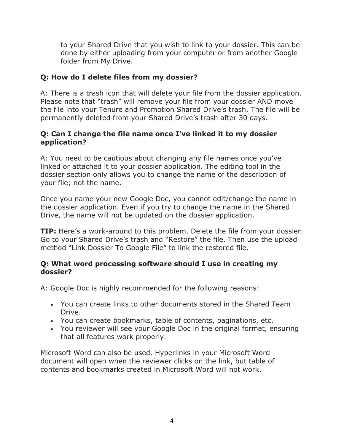to your Shared Drive that you wish to link to your dossier. This can be done by either uploading from your computer or from another Google folder from My Drive.

### **Q: How do I delete files from my dossier?**

A: There is a trash icon that will delete your file from the dossier application. Please note that "trash" will remove your file from your dossier AND move the file into your Tenure and Promotion Shared Drive's trash. The file will be permanently deleted from your Shared Drive's trash after 30 days.

### **Q: Can I change the file name once I've linked it to my dossier application?**

 linked or attached it to your dossier application. The editing tool in the A: You need to be cautious about changing any file names once you've dossier section only allows you to change the name of the description of your file; not the name.

Once you name your new Google Doc, you cannot edit/change the name in the dossier application. Even if you try to change the name in the Shared Drive, the name will not be updated on the dossier application.

**TIP:** Here's a work-around to this problem. Delete the file from your dossier. Go to your Shared Drive's trash and "Restore" the file. Then use the upload method "Link Dossier To Google File" to link the restored file.

### **Q: What word processing software should I use in creating my dossier?**

A: Google Doc is highly recommended for the following reasons:

- You can create links to other documents stored in the Shared Team Drive.
- You can create bookmarks, table of contents, paginations, etc.
- You reviewer will see your Google Doc in the original format, ensuring that all features work properly.

Microsoft Word can also be used. Hyperlinks in your Microsoft Word document will open when the reviewer clicks on the link, but table of contents and bookmarks created in Microsoft Word will not work.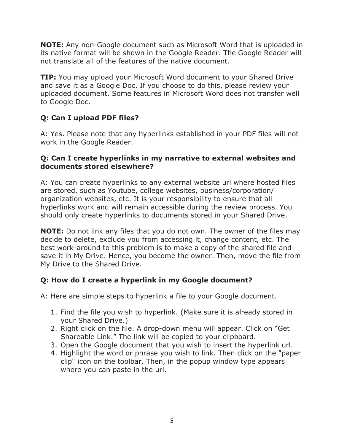**NOTE:** Any non-Google document such as Microsoft Word that is uploaded in its native format will be shown in the Google Reader. The Google Reader will not translate all of the features of the native document.

**TIP:** You may upload your Microsoft Word document to your Shared Drive and save it as a Google Doc. If you choose to do this, please review your uploaded document. Some features in Microsoft Word does not transfer well to Google Doc.

# **Q: Can I upload PDF files?**

A: Yes. Please note that any hyperlinks established in your PDF files will not work in the Google Reader.

### **Q: Can I create hyperlinks in my narrative to external websites and documents stored elsewhere?**

A: You can create hyperlinks to any external website url where hosted files are stored, such as Youtube, college websites, business/corporation/ organization websites, etc. It is your responsibility to ensure that all hyperlinks work and will remain accessible during the review process. You should only create hyperlinks to documents stored in your Shared Drive.

 best work-around to this problem is to make a copy of the shared file and **NOTE:** Do not link any files that you do not own. The owner of the files may decide to delete, exclude you from accessing it, change content, etc. The save it in My Drive. Hence, you become the owner. Then, move the file from My Drive to the Shared Drive.

### **Q: How do I create a hyperlink in my Google document?**

A: Here are simple steps to hyperlink a file to your Google document.

- 1. Find the file you wish to hyperlink. (Make sure it is already stored in your Shared Drive.)
- 2. Right click on the file. A drop-down menu will appear. Click on "Get Shareable Link." The link will be copied to your clipboard.
- 3. Open the Google document that you wish to insert the hyperlink url.
- clip" icon on the toolbar. Then, in the popup window type appears 4. Highlight the word or phrase you wish to link. Then click on the "paper where you can paste in the url.